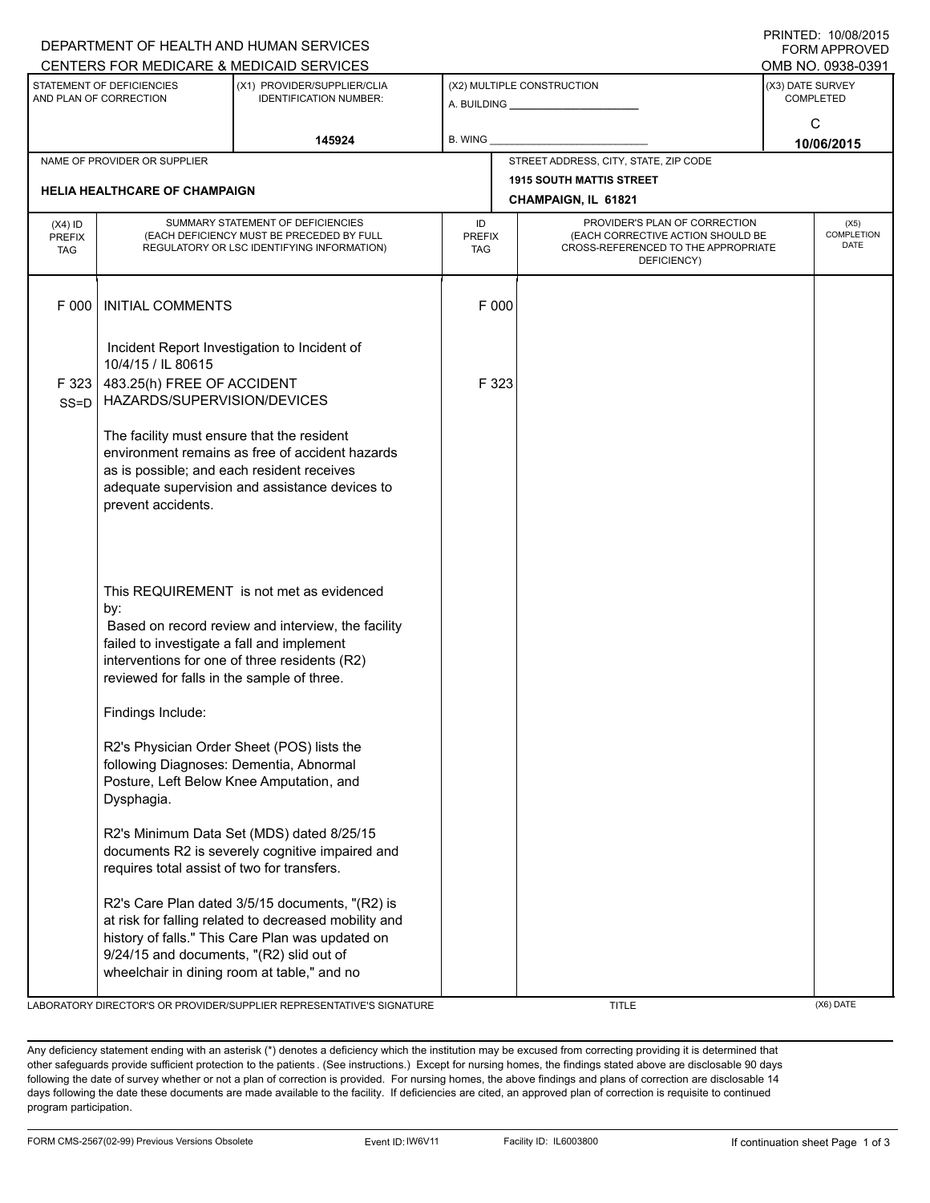|                                                     |                                                                                                                                                                                                                                                    | DEPARTMENT OF HEALTH AND HUMAN SERVICES                                                                                                                      |                            |                                                                                                                          |                                      | <b>FORM APPROVED</b>              |  |  |  |
|-----------------------------------------------------|----------------------------------------------------------------------------------------------------------------------------------------------------------------------------------------------------------------------------------------------------|--------------------------------------------------------------------------------------------------------------------------------------------------------------|----------------------------|--------------------------------------------------------------------------------------------------------------------------|--------------------------------------|-----------------------------------|--|--|--|
|                                                     |                                                                                                                                                                                                                                                    | CENTERS FOR MEDICARE & MEDICAID SERVICES                                                                                                                     |                            |                                                                                                                          |                                      | OMB NO. 0938-0391                 |  |  |  |
| STATEMENT OF DEFICIENCIES<br>AND PLAN OF CORRECTION |                                                                                                                                                                                                                                                    | (X1) PROVIDER/SUPPLIER/CLIA<br><b>IDENTIFICATION NUMBER:</b>                                                                                                 |                            | (X2) MULTIPLE CONSTRUCTION                                                                                               | (X3) DATE SURVEY<br><b>COMPLETED</b> |                                   |  |  |  |
|                                                     |                                                                                                                                                                                                                                                    | 145924                                                                                                                                                       | <b>B. WING</b>             |                                                                                                                          | C<br>10/06/2015                      |                                   |  |  |  |
|                                                     | NAME OF PROVIDER OR SUPPLIER                                                                                                                                                                                                                       |                                                                                                                                                              |                            | STREET ADDRESS, CITY, STATE, ZIP CODE                                                                                    |                                      |                                   |  |  |  |
|                                                     |                                                                                                                                                                                                                                                    |                                                                                                                                                              |                            | <b>1915 SOUTH MATTIS STREET</b>                                                                                          |                                      |                                   |  |  |  |
| <b>HELIA HEALTHCARE OF CHAMPAIGN</b>                |                                                                                                                                                                                                                                                    |                                                                                                                                                              |                            | CHAMPAIGN, IL 61821                                                                                                      |                                      |                                   |  |  |  |
| $(X4)$ ID<br><b>PREFIX</b><br><b>TAG</b>            |                                                                                                                                                                                                                                                    | SUMMARY STATEMENT OF DEFICIENCIES<br>(EACH DEFICIENCY MUST BE PRECEDED BY FULL<br>REGULATORY OR LSC IDENTIFYING INFORMATION)                                 | ID<br><b>PREFIX</b><br>TAG | PROVIDER'S PLAN OF CORRECTION<br>(EACH CORRECTIVE ACTION SHOULD BE<br>CROSS-REFERENCED TO THE APPROPRIATE<br>DEFICIENCY) |                                      | (X5)<br>COMPLETION<br><b>DATE</b> |  |  |  |
| F 000                                               | <b>INITIAL COMMENTS</b>                                                                                                                                                                                                                            |                                                                                                                                                              | F 000                      |                                                                                                                          |                                      |                                   |  |  |  |
| F 323                                               | Incident Report Investigation to Incident of<br>10/4/15 / IL 80615<br>483.25(h) FREE OF ACCIDENT                                                                                                                                                   |                                                                                                                                                              | F 323                      |                                                                                                                          |                                      |                                   |  |  |  |
| $SS = D$                                            | HAZARDS/SUPERVISION/DEVICES<br>The facility must ensure that the resident<br>as is possible; and each resident receives<br>prevent accidents.                                                                                                      | environment remains as free of accident hazards<br>adequate supervision and assistance devices to                                                            |                            |                                                                                                                          |                                      |                                   |  |  |  |
|                                                     | This REQUIREMENT is not met as evidenced<br>by:<br>Based on record review and interview, the facility<br>failed to investigate a fall and implement<br>interventions for one of three residents (R2)<br>reviewed for falls in the sample of three. |                                                                                                                                                              |                            |                                                                                                                          |                                      |                                   |  |  |  |
|                                                     | Findings Include:<br>R2's Physician Order Sheet (POS) lists the                                                                                                                                                                                    |                                                                                                                                                              |                            |                                                                                                                          |                                      |                                   |  |  |  |
|                                                     | following Diagnoses: Dementia, Abnormal<br>Posture, Left Below Knee Amputation, and<br>Dysphagia.                                                                                                                                                  |                                                                                                                                                              |                            |                                                                                                                          |                                      |                                   |  |  |  |
|                                                     | requires total assist of two for transfers.                                                                                                                                                                                                        | R2's Minimum Data Set (MDS) dated 8/25/15<br>documents R2 is severely cognitive impaired and                                                                 |                            |                                                                                                                          |                                      |                                   |  |  |  |
|                                                     | 9/24/15 and documents, "(R2) slid out of<br>wheelchair in dining room at table," and no                                                                                                                                                            | R2's Care Plan dated 3/5/15 documents, "(R2) is<br>at risk for falling related to decreased mobility and<br>history of falls." This Care Plan was updated on |                            |                                                                                                                          |                                      |                                   |  |  |  |

LABORATORY DIRECTOR'S OR PROVIDER/SUPPLIER REPRESENTATIVE'S SIGNATURE TITLE THE TITLE (X6) DATE

PRINTED: 10/08/2015

Any deficiency statement ending with an asterisk (\*) denotes a deficiency which the institution may be excused from correcting providing it is determined that other safeguards provide sufficient protection to the patients . (See instructions.) Except for nursing homes, the findings stated above are disclosable 90 days following the date of survey whether or not a plan of correction is provided. For nursing homes, the above findings and plans of correction are disclosable 14 days following the date these documents are made available to the facility. If deficiencies are cited, an approved plan of correction is requisite to continued program participation.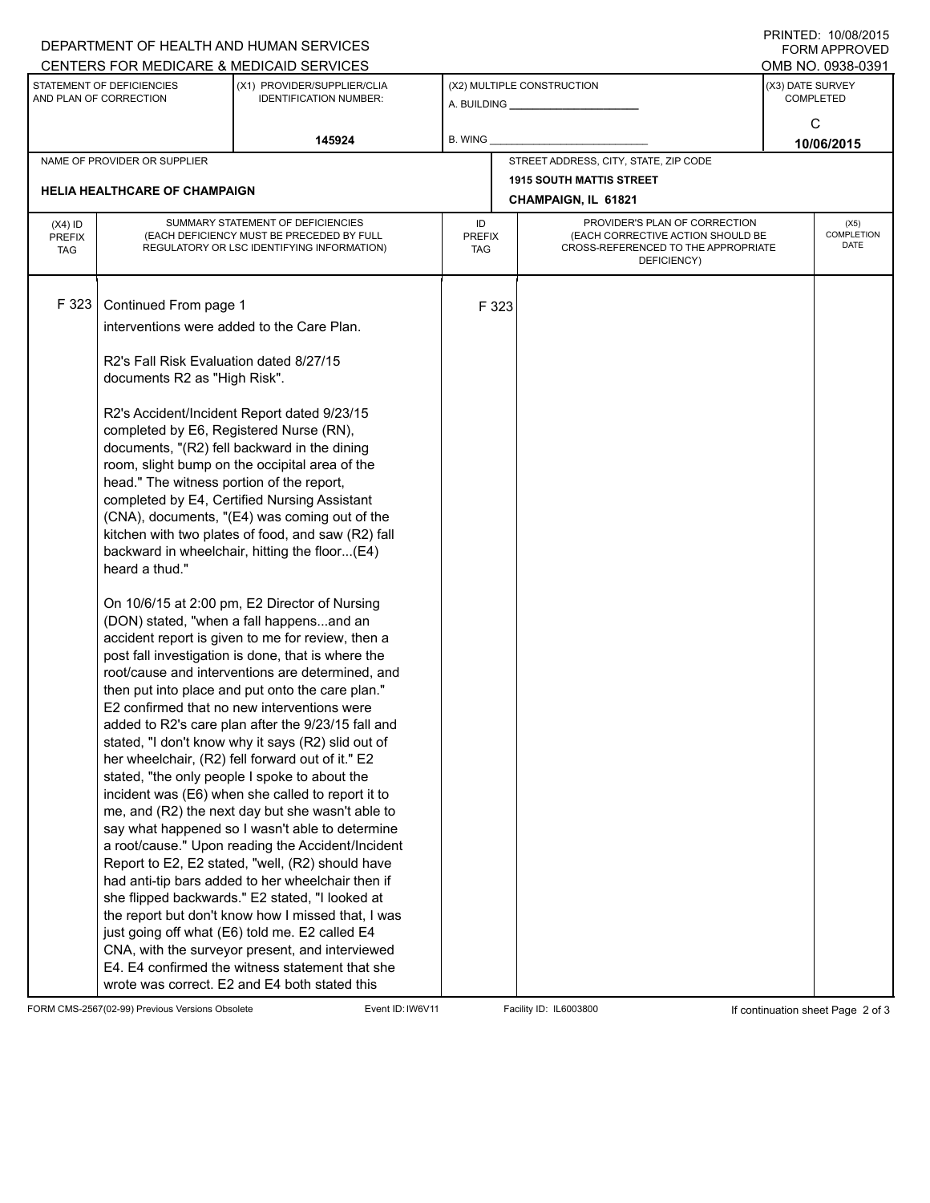|                                                     |                                                                                                                                                                                                                                                                                                                       | DEPARTMENT OF HEALTH AND HUMAN SERVICES                                                                |                      |                     | 11111111127.1000012013<br>FORM APPROVED                                  |                                      |                   |  |
|-----------------------------------------------------|-----------------------------------------------------------------------------------------------------------------------------------------------------------------------------------------------------------------------------------------------------------------------------------------------------------------------|--------------------------------------------------------------------------------------------------------|----------------------|---------------------|--------------------------------------------------------------------------|--------------------------------------|-------------------|--|
| CENTERS FOR MEDICARE & MEDICAID SERVICES            |                                                                                                                                                                                                                                                                                                                       |                                                                                                        |                      |                     |                                                                          |                                      | OMB NO. 0938-0391 |  |
| STATEMENT OF DEFICIENCIES<br>AND PLAN OF CORRECTION |                                                                                                                                                                                                                                                                                                                       | (X1) PROVIDER/SUPPLIER/CLIA<br><b>IDENTIFICATION NUMBER:</b>                                           |                      |                     | (X2) MULTIPLE CONSTRUCTION<br>A. BUILDING <b>A.</b> BUILDING             | (X3) DATE SURVEY<br><b>COMPLETED</b> |                   |  |
|                                                     |                                                                                                                                                                                                                                                                                                                       |                                                                                                        |                      |                     |                                                                          |                                      | C                 |  |
|                                                     |                                                                                                                                                                                                                                                                                                                       | 145924                                                                                                 | B. WING              |                     |                                                                          | 10/06/2015                           |                   |  |
|                                                     | NAME OF PROVIDER OR SUPPLIER                                                                                                                                                                                                                                                                                          |                                                                                                        |                      |                     | STREET ADDRESS, CITY, STATE, ZIP CODE                                    |                                      |                   |  |
|                                                     |                                                                                                                                                                                                                                                                                                                       |                                                                                                        |                      |                     | <b>1915 SOUTH MATTIS STREET</b>                                          |                                      |                   |  |
|                                                     | <b>HELIA HEALTHCARE OF CHAMPAIGN</b>                                                                                                                                                                                                                                                                                  |                                                                                                        |                      | CHAMPAIGN, IL 61821 |                                                                          |                                      |                   |  |
| $(X4)$ ID                                           | SUMMARY STATEMENT OF DEFICIENCIES                                                                                                                                                                                                                                                                                     |                                                                                                        |                      |                     | PROVIDER'S PLAN OF CORRECTION                                            |                                      | (X5)              |  |
| <b>PREFIX</b>                                       | (EACH DEFICIENCY MUST BE PRECEDED BY FULL                                                                                                                                                                                                                                                                             |                                                                                                        | <b>PREFIX</b><br>TAG |                     | (EACH CORRECTIVE ACTION SHOULD BE<br>CROSS-REFERENCED TO THE APPROPRIATE |                                      |                   |  |
|                                                     | REGULATORY OR LSC IDENTIFYING INFORMATION)<br><b>TAG</b>                                                                                                                                                                                                                                                              |                                                                                                        |                      |                     | DEFICIENCY)                                                              |                                      |                   |  |
|                                                     |                                                                                                                                                                                                                                                                                                                       |                                                                                                        |                      |                     |                                                                          |                                      |                   |  |
| F 323                                               | Continued From page 1                                                                                                                                                                                                                                                                                                 |                                                                                                        |                      | F 323               |                                                                          |                                      |                   |  |
|                                                     |                                                                                                                                                                                                                                                                                                                       |                                                                                                        |                      |                     |                                                                          |                                      |                   |  |
|                                                     | interventions were added to the Care Plan.                                                                                                                                                                                                                                                                            |                                                                                                        |                      |                     |                                                                          |                                      |                   |  |
|                                                     | R2's Fall Risk Evaluation dated 8/27/15                                                                                                                                                                                                                                                                               |                                                                                                        |                      |                     |                                                                          |                                      |                   |  |
|                                                     | documents R2 as "High Risk".                                                                                                                                                                                                                                                                                          |                                                                                                        |                      |                     |                                                                          |                                      |                   |  |
|                                                     |                                                                                                                                                                                                                                                                                                                       |                                                                                                        |                      |                     |                                                                          |                                      |                   |  |
|                                                     |                                                                                                                                                                                                                                                                                                                       | R2's Accident/Incident Report dated 9/23/15                                                            |                      |                     |                                                                          |                                      |                   |  |
|                                                     | completed by E6, Registered Nurse (RN),                                                                                                                                                                                                                                                                               |                                                                                                        |                      |                     |                                                                          |                                      |                   |  |
|                                                     |                                                                                                                                                                                                                                                                                                                       | documents, "(R2) fell backward in the dining                                                           |                      |                     |                                                                          |                                      |                   |  |
|                                                     | room, slight bump on the occipital area of the<br>head." The witness portion of the report,<br>completed by E4, Certified Nursing Assistant<br>(CNA), documents, "(E4) was coming out of the<br>kitchen with two plates of food, and saw (R2) fall<br>backward in wheelchair, hitting the floor(E4)<br>heard a thud." |                                                                                                        |                      |                     |                                                                          |                                      |                   |  |
|                                                     |                                                                                                                                                                                                                                                                                                                       |                                                                                                        |                      |                     |                                                                          |                                      |                   |  |
|                                                     |                                                                                                                                                                                                                                                                                                                       |                                                                                                        |                      |                     |                                                                          |                                      |                   |  |
|                                                     |                                                                                                                                                                                                                                                                                                                       |                                                                                                        |                      |                     |                                                                          |                                      |                   |  |
|                                                     |                                                                                                                                                                                                                                                                                                                       |                                                                                                        |                      |                     |                                                                          |                                      |                   |  |
|                                                     |                                                                                                                                                                                                                                                                                                                       |                                                                                                        |                      |                     |                                                                          |                                      |                   |  |
|                                                     |                                                                                                                                                                                                                                                                                                                       |                                                                                                        |                      |                     |                                                                          |                                      |                   |  |
|                                                     | On 10/6/15 at 2:00 pm, E2 Director of Nursing<br>(DON) stated, "when a fall happensand an<br>accident report is given to me for review, then a                                                                                                                                                                        |                                                                                                        |                      |                     |                                                                          |                                      |                   |  |
|                                                     |                                                                                                                                                                                                                                                                                                                       |                                                                                                        |                      |                     |                                                                          |                                      |                   |  |
|                                                     | post fall investigation is done, that is where the                                                                                                                                                                                                                                                                    |                                                                                                        |                      |                     |                                                                          |                                      |                   |  |
|                                                     |                                                                                                                                                                                                                                                                                                                       | root/cause and interventions are determined, and                                                       |                      |                     |                                                                          |                                      |                   |  |
|                                                     |                                                                                                                                                                                                                                                                                                                       | then put into place and put onto the care plan."                                                       |                      |                     |                                                                          |                                      |                   |  |
|                                                     |                                                                                                                                                                                                                                                                                                                       | E2 confirmed that no new interventions were                                                            |                      |                     |                                                                          |                                      |                   |  |
|                                                     |                                                                                                                                                                                                                                                                                                                       | added to R2's care plan after the 9/23/15 fall and                                                     |                      |                     |                                                                          |                                      |                   |  |
|                                                     |                                                                                                                                                                                                                                                                                                                       | stated, "I don't know why it says (R2) slid out of<br>her wheelchair, (R2) fell forward out of it." E2 |                      |                     |                                                                          |                                      |                   |  |
|                                                     |                                                                                                                                                                                                                                                                                                                       | stated, "the only people I spoke to about the                                                          |                      |                     |                                                                          |                                      |                   |  |
|                                                     |                                                                                                                                                                                                                                                                                                                       | incident was (E6) when she called to report it to                                                      |                      |                     |                                                                          |                                      |                   |  |
|                                                     |                                                                                                                                                                                                                                                                                                                       | me, and (R2) the next day but she wasn't able to                                                       |                      |                     |                                                                          |                                      |                   |  |
|                                                     |                                                                                                                                                                                                                                                                                                                       | say what happened so I wasn't able to determine                                                        |                      |                     |                                                                          |                                      |                   |  |
|                                                     |                                                                                                                                                                                                                                                                                                                       | a root/cause." Upon reading the Accident/Incident                                                      |                      |                     |                                                                          |                                      |                   |  |
|                                                     |                                                                                                                                                                                                                                                                                                                       | Report to E2, E2 stated, "well, (R2) should have                                                       |                      |                     |                                                                          |                                      |                   |  |
|                                                     |                                                                                                                                                                                                                                                                                                                       | had anti-tip bars added to her wheelchair then if                                                      |                      |                     |                                                                          |                                      |                   |  |
|                                                     |                                                                                                                                                                                                                                                                                                                       | she flipped backwards." E2 stated, "I looked at<br>the report but don't know how I missed that, I was  |                      |                     |                                                                          |                                      |                   |  |
|                                                     |                                                                                                                                                                                                                                                                                                                       | just going off what (E6) told me. E2 called E4                                                         |                      |                     |                                                                          |                                      |                   |  |
|                                                     |                                                                                                                                                                                                                                                                                                                       | CNA, with the surveyor present, and interviewed                                                        |                      |                     |                                                                          |                                      |                   |  |
|                                                     |                                                                                                                                                                                                                                                                                                                       | E4. E4 confirmed the witness statement that she                                                        |                      |                     |                                                                          |                                      |                   |  |
|                                                     |                                                                                                                                                                                                                                                                                                                       | wrote was correct. E2 and E4 both stated this                                                          |                      |                     |                                                                          |                                      |                   |  |

FORM CMS-2567(02-99) Previous Versions Obsolete Event ID:IW6V11 Facility ID: IL6003800 If continuation sheet Page 2 of 3

PRINTED: 10/08/2015